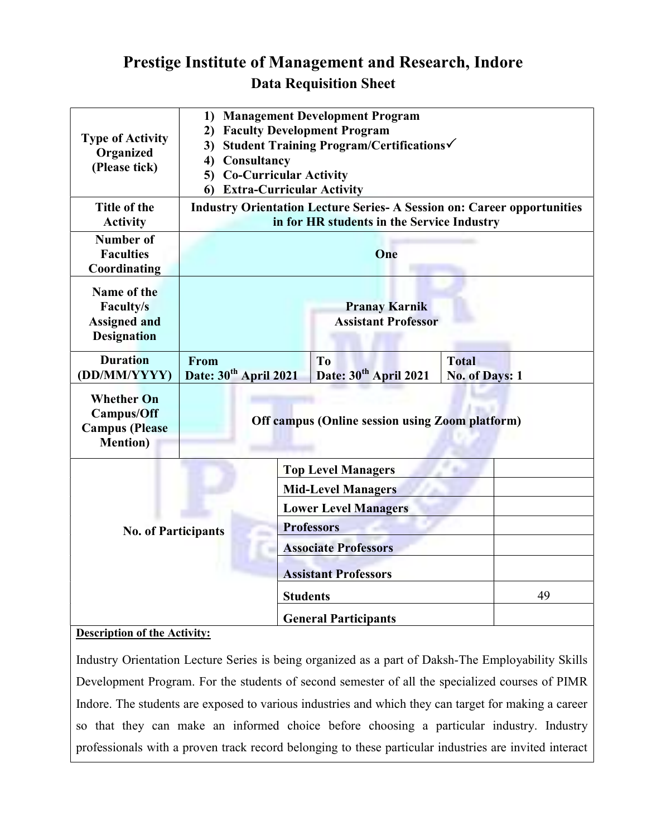## Prestige Institute of Management and Research, Indore Data Requisition Sheet

| <b>Type of Activity</b><br>Organized<br>(Please tick)                               | <b>Management Development Program</b><br>1)<br><b>Faculty Development Program</b><br>2)<br>Student Training Program/Certifications√<br>3)<br>Consultancy<br>4)<br><b>Co-Curricular Activity</b><br>5)<br><b>Extra-Curricular Activity</b><br>6 |                                                          |                                                     |  |                                |    |
|-------------------------------------------------------------------------------------|------------------------------------------------------------------------------------------------------------------------------------------------------------------------------------------------------------------------------------------------|----------------------------------------------------------|-----------------------------------------------------|--|--------------------------------|----|
| Title of the<br><b>Activity</b>                                                     | <b>Industry Orientation Lecture Series- A Session on: Career opportunities</b><br>in for HR students in the Service Industry                                                                                                                   |                                                          |                                                     |  |                                |    |
| Number of<br><b>Faculties</b><br>Coordinating                                       | One                                                                                                                                                                                                                                            |                                                          |                                                     |  |                                |    |
| Name of the<br><b>Faculty/s</b><br><b>Assigned and</b><br><b>Designation</b>        | <b>Pranay Karnik</b><br><b>Assistant Professor</b>                                                                                                                                                                                             |                                                          |                                                     |  |                                |    |
| <b>Duration</b><br>(DD/MM/YYYY)                                                     | From<br>Date: 30 <sup>th</sup> April 2021                                                                                                                                                                                                      |                                                          | T <sub>o</sub><br>Date: 30 <sup>th</sup> April 2021 |  | <b>Total</b><br>No. of Days: 1 |    |
| <b>Whether On</b><br><b>Campus/Off</b><br><b>Campus</b> (Please<br><b>Mention</b> ) | <b>Off campus (Online session using Zoom platform)</b>                                                                                                                                                                                         |                                                          |                                                     |  |                                |    |
|                                                                                     |                                                                                                                                                                                                                                                | <b>Top Level Managers</b>                                |                                                     |  |                                |    |
|                                                                                     |                                                                                                                                                                                                                                                | <b>Mid-Level Managers</b><br><b>Lower Level Managers</b> |                                                     |  |                                |    |
| <b>No. of Participants</b>                                                          |                                                                                                                                                                                                                                                | <b>Professors</b>                                        |                                                     |  |                                |    |
|                                                                                     |                                                                                                                                                                                                                                                |                                                          | <b>Associate Professors</b>                         |  |                                |    |
|                                                                                     | <b>Assistant Professors</b>                                                                                                                                                                                                                    |                                                          |                                                     |  |                                |    |
|                                                                                     |                                                                                                                                                                                                                                                |                                                          | <b>Students</b>                                     |  |                                | 49 |
| 6.1                                                                                 |                                                                                                                                                                                                                                                |                                                          | <b>General Participants</b>                         |  |                                |    |

## Description of the Activity:

Industry Orientation Lecture Series is being organized as a part of Daksh-The Employability Skills Development Program. For the students of second semester of all the specialized courses of PIMR Indore. The students are exposed to various industries and which they can target for making a career so that they can make an informed choice before choosing a particular industry. Industry professionals with a proven track record belonging to these particular industries are invited interact